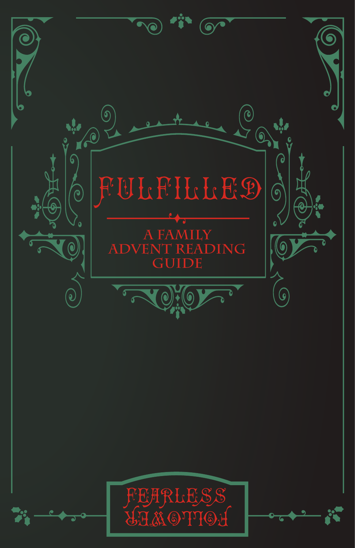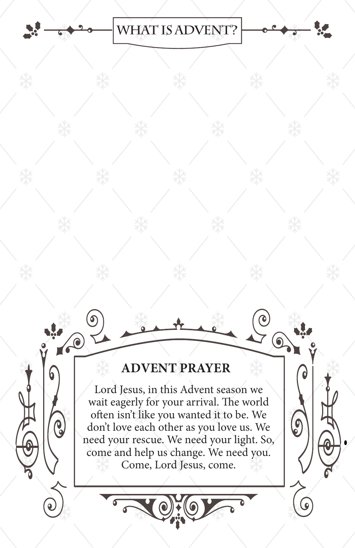# **what is advent?**

# **ADVENT PRAYER**

 $\bigcirc$ 

R

O

 $\odot$ 

 $\bigcirc$ 

 $\bullet$ 

(၄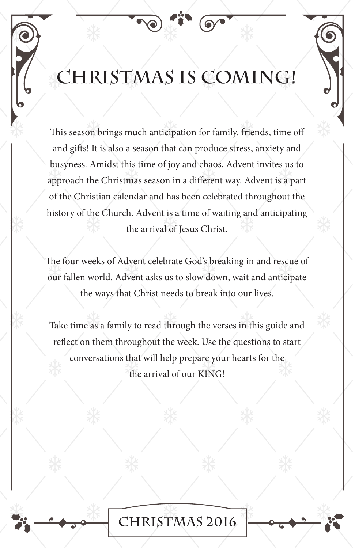# **CHRISTMAS IS COMING!**

This season brings much anticipation for family, friends, time off and gifts! It is also a season that can produce stress, anxiety and busyness. Amidst this time of joy and chaos, Advent invites us to approach the Christmas season in a different way. Advent is a part of the Christian calendar and has been celebrated throughout the history of the Church. Advent is a time of waiting and anticipating the arrival of Jesus Christ.

The four weeks of Advent celebrate God's breaking in and rescue of our fallen world. Advent asks us to slow down, wait and anticipate the ways that Christ needs to break into our lives.

Take time as a family to read through the verses in this guide and reflect on them throughout the week. Use the questions to start conversations that will help prepare your hearts for the the arrival of our KING!

**CHristmas 2016**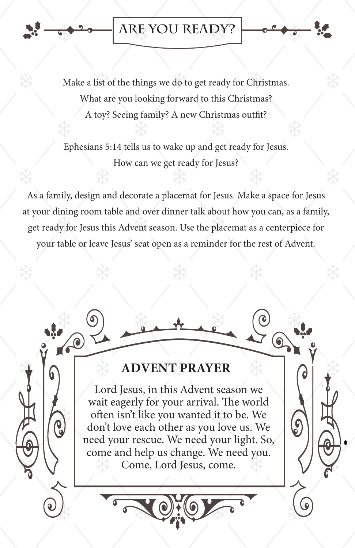#### **ARE YOU READY?**

Make a list of the things we do to get ready for Christmas. What are you looking forward to this Christmas? A toy? Seeing family? A new Christmas outfit?

Ephesians 5:14 tells us to wake up and get ready for Jesus. How can we get ready for Jesus?

As a family, design and decorate a placemat for Jesus. Make a space for Jesus at your dining room table and over dinner talk about how you can, as a family, get ready for Jesus this Advent season. Use the placemat as a centerpiece for your table or leave Jesus' seat open as a reminder for the rest of Advent.

# **ADVENT PRAYER**

A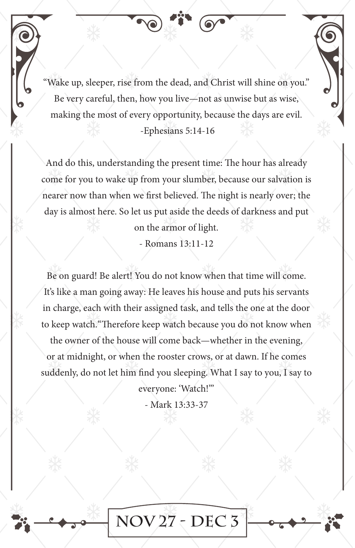Wake up, sleeper, rise from the dead, and Christ will shine on you." Be very careful, then, how you live—not as unwise but as wise, making the most of every opportunity, because the days are evil. -Ephesians 5:14-16

And do this, understanding the present time: The hour has already come for you to wake up from your slumber, because our salvation is nearer now than when we first believed. The night is nearly over; the day is almost here. So let us put aside the deeds of darkness and put

on the armor of light.

- Romans 13:11-12

Be on guard! Be alert! You do not know when that time will come. It's like a man going away: He leaves his house and puts his servants in charge, each with their assigned task, and tells the one at the door to keep watch."Therefore keep watch because you do not know when

the owner of the house will come back—whether in the evening, or at midnight, or when the rooster crows, or at dawn. If he comes suddenly, do not let him find you sleeping. What I say to you, I say to

everyone: 'Watch!'"

- Mark 13:33-37

**Nov 27 - Dec 3**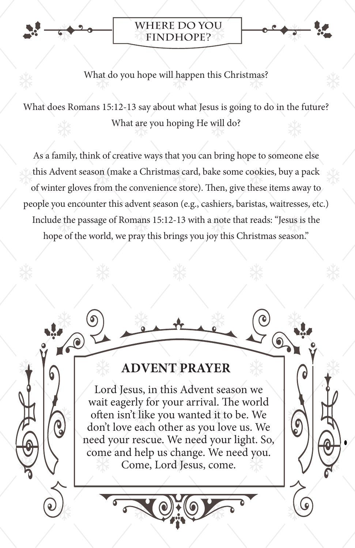

 $\sqrt{2}$ 

ဨ

#### **Where do you findHOPE?**



#### What do you hope will happen this Christmas?

What does Romans 15:12-13 say about what Jesus is going to do in the future? What are you hoping He will do?

As a family, think of creative ways that you can bring hope to someone else this Advent season (make a Christmas card, bake some cookies, buy a pack of winter gloves from the convenience store). Then, give these items away to people you encounter this advent season (e.g., cashiers, baristas, waitresses, etc.) Include the passage of Romans 15:12-13 with a note that reads: "Jesus is the hope of the world, we pray this brings you joy this Christmas season."

### **ADVENT PRAYER**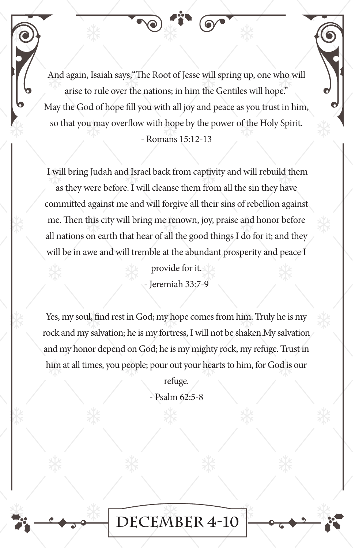And again, Isaiah says,"The Root of Jesse will spring up, one who will arise to rule over the nations; in him the Gentiles will hope." May the God of hope fill you with all joy and peace as you trust in him, so that you may overflow with hope by the power of the Holy Spirit.

#### - Romans 15:12-13

 I will bring Judah and Israel back from captivity and will rebuild them as they were before. I will cleanse them from all the sin they have committed against me and will forgive all their sins of rebellion against me. Then this city will bring me renown, joy, praise and honor before all nations on earth that hear of all the good things I do for it; and they will be in awe and will tremble at the abundant prosperity and peace I

> provide for it. - Jeremiah 33:7-9

Yes, my soul, find rest in God; my hope comes from him. Truly he is my rock and my salvation; he is my fortress, I will not be shaken.My salvation and my honor depend on God; he is my mighty rock, my refuge. Trust in him at all times, you people; pour out your hearts to him, for God is our

> refuge. - Psalm 62:5-8

**December 4-10**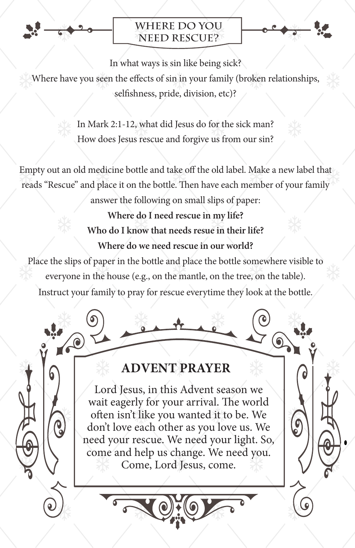

ဨ

#### **Where do you need RESCUE?**



In what ways is sin like being sick?

Where have you seen the effects of sin in your family (broken relationships, selfishness, pride, division, etc)?

> In Mark 2:1-12, what did Jesus do for the sick man? How does Jesus rescue and forgive us from our sin?

Empty out an old medicine bottle and take off the old label. Make a new label that reads "Rescue" and place it on the bottle. Then have each member of your family

answer the following on small slips of paper:

**Where do I need rescue in my life? Who do I know that needs resue in their life? Where do we need rescue in our world?** 

Place the slips of paper in the bottle and place the bottle somewhere visible to everyone in the house (e.g., on the mantle, on the tree, on the table). Instruct your family to pray for rescue everytime they look at the bottle.

#### **ADVENT PRAYER**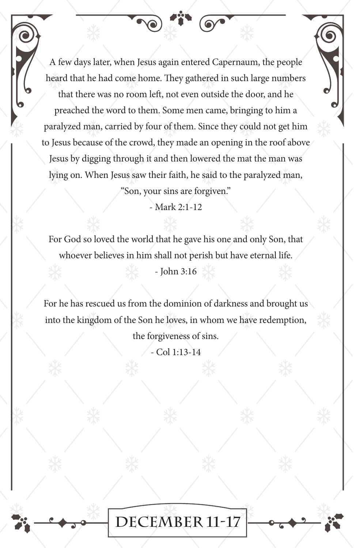A few days later, when Jesus again entered Capernaum, the people heard that he had come home. They gathered in such large numbers that there was no room left, not even outside the door, and he preached the word to them. Some men came, bringing to him a paralyzed man, carried by four of them. Since they could not get him to Jesus because of the crowd, they made an opening in the roof above Jesus by digging through it and then lowered the mat the man was lying on. When Jesus saw their faith, he said to the paralyzed man, "Son, your sins are forgiven."

- Mark 2:1-12

For God so loved the world that he gave his one and only Son, that whoever believes in him shall not perish but have eternal life.

- John 3:16

For he has rescued us from the dominion of darkness and brought us into the kingdom of the Son he loves, in whom we have redemption,

the forgiveness of sins.

- Col 1:13-14

**December 11-17**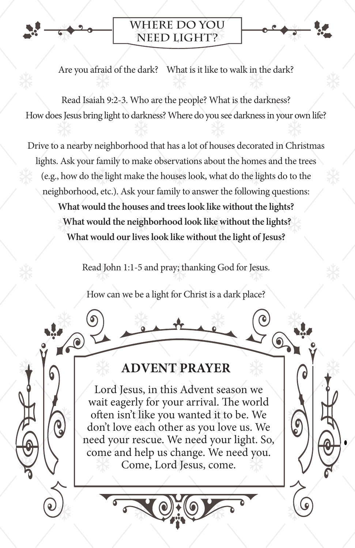

 $\bullet$ 

#### **Where do you need LIGHT?**

Are you afraid of the dark? What is it like to walk in the dark?

Read Isaiah 9:2-3. Who are the people? What is the darkness? How does Jesus bring light to darkness? Where do you see darkness in your own life?

Drive to a nearby neighborhood that has a lot of houses decorated in Christmas lights. Ask your family to make observations about the homes and the trees (e.g., how do the light make the houses look, what do the lights do to the neighborhood, etc.). Ask your family to answer the following questions: **What would the houses and trees look like without the lights? What would the neighborhood look like without the lights? What would our lives look like without the light of Jesus?**

Read John 1:1-5 and pray; thanking God for Jesus.

How can we be a light for Christ is a dark place?

#### **ADVENT PRAYER**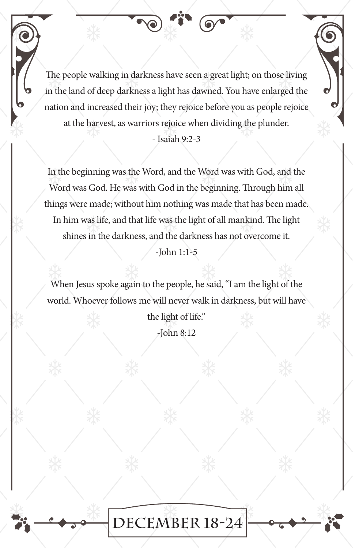The people walking in darkness have seen a great light; on those living in the land of deep darkness a light has dawned. You have enlarged the nation and increased their joy; they rejoice before you as people rejoice at the harvest, as warriors rejoice when dividing the plunder.

- Isaiah 9:2-3

In the beginning was the Word, and the Word was with God, and the Word was God. He was with God in the beginning. Through him all things were made; without him nothing was made that has been made. In him was life, and that life was the light of all mankind. The light shines in the darkness, and the darkness has not overcome it.

-John 1:1-5

When Jesus spoke again to the people, he said, "I am the light of the world. Whoever follows me will never walk in darkness, but will have

> the light of life." -John 8:12

**December 18-24**